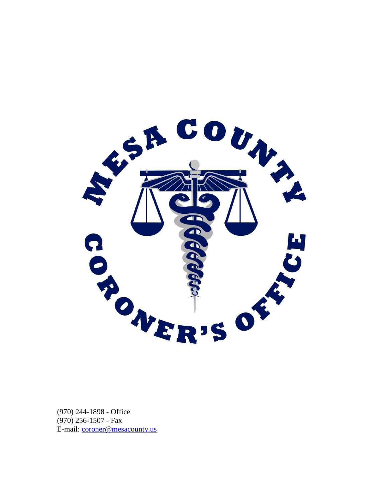

(970) 244-1898 - Office (970) 256-1507 - Fax E-mail: [coroner@mesacounty.us](mailto:coroner@mesacounty.us)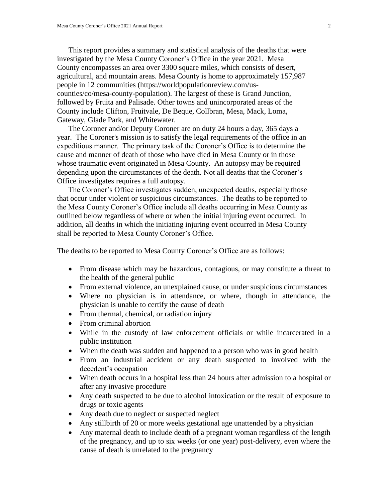This report provides a summary and statistical analysis of the deaths that were investigated by the Mesa County Coroner's Office in the year 2021. Mesa County encompasses an area over 3300 square miles, which consists of desert, agricultural, and mountain areas. Mesa County is home to approximately 157,987 people in 12 communities (https://worldpopulationreview.com/uscounties/co/mesa-county-population). The largest of these is Grand Junction, followed by Fruita and Palisade. Other towns and unincorporated areas of the County include Clifton, Fruitvale, De Beque, Collbran, Mesa, Mack, Loma, Gateway, Glade Park, and Whitewater.

The Coroner and/or Deputy Coroner are on duty 24 hours a day, 365 days a year. The Coroner's mission is to satisfy the legal requirements of the office in an expeditious manner. The primary task of the Coroner's Office is to determine the cause and manner of death of those who have died in Mesa County or in those whose traumatic event originated in Mesa County. An autopsy may be required depending upon the circumstances of the death. Not all deaths that the Coroner's Office investigates requires a full autopsy.

The Coroner's Office investigates sudden, unexpected deaths, especially those that occur under violent or suspicious circumstances. The deaths to be reported to the Mesa County Coroner's Office include all deaths occurring in Mesa County as outlined below regardless of where or when the initial injuring event occurred. In addition, all deaths in which the initiating injuring event occurred in Mesa County shall be reported to Mesa County Coroner's Office.

The deaths to be reported to Mesa County Coroner's Office are as follows:

- From disease which may be hazardous, contagious, or may constitute a threat to the health of the general public
- From external violence, an unexplained cause, or under suspicious circumstances
- Where no physician is in attendance, or where, though in attendance, the physician is unable to certify the cause of death
- From thermal, chemical, or radiation injury
- From criminal abortion
- While in the custody of law enforcement officials or while incarcerated in a public institution
- When the death was sudden and happened to a person who was in good health
- From an industrial accident or any death suspected to involved with the decedent's occupation
- When death occurs in a hospital less than 24 hours after admission to a hospital or after any invasive procedure
- Any death suspected to be due to alcohol intoxication or the result of exposure to drugs or toxic agents
- Any death due to neglect or suspected neglect
- Any stillbirth of 20 or more weeks gestational age unattended by a physician
- Any maternal death to include death of a pregnant woman regardless of the length of the pregnancy, and up to six weeks (or one year) post-delivery, even where the cause of death is unrelated to the pregnancy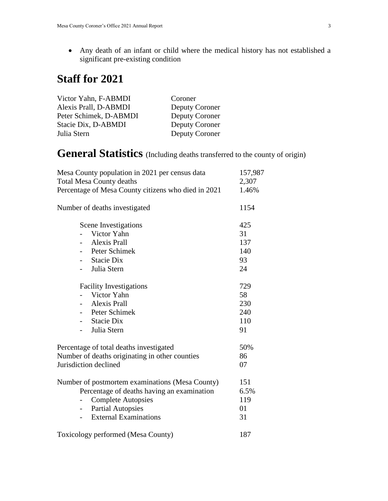Any death of an infant or child where the medical history has not established a significant pre-existing condition

# **Staff for 2021**

| Coroner        |
|----------------|
| Deputy Coroner |
| Deputy Coroner |
| Deputy Coroner |
| Deputy Coroner |
|                |

**General Statistics** (Including deaths transferred to the county of origin)

| Mesa County population in 2021 per census data<br><b>Total Mesa County deaths</b> | 157,987<br>2,307 |
|-----------------------------------------------------------------------------------|------------------|
| Percentage of Mesa County citizens who died in 2021                               | 1.46%            |
| Number of deaths investigated                                                     | 1154             |
| Scene Investigations                                                              | 425              |
| Victor Yahn                                                                       | 31               |
| <b>Alexis Prall</b>                                                               | 137              |
| Peter Schimek                                                                     | 140              |
| <b>Stacie Dix</b>                                                                 | 93               |
| Julia Stern                                                                       | 24               |
| <b>Facility Investigations</b>                                                    | 729              |
| Victor Yahn                                                                       | 58               |
| <b>Alexis Prall</b>                                                               | 230              |
| Peter Schimek                                                                     | 240              |
| <b>Stacie Dix</b>                                                                 | 110              |
| Julia Stern                                                                       | 91               |
| Percentage of total deaths investigated                                           | 50%              |
| Number of deaths originating in other counties                                    | 86               |
| Jurisdiction declined                                                             | 07               |
| Number of postmortem examinations (Mesa County)                                   | 151              |
| Percentage of deaths having an examination                                        | 6.5%             |
| <b>Complete Autopsies</b>                                                         | 119              |
| <b>Partial Autopsies</b>                                                          | 01               |
| <b>External Examinations</b>                                                      | 31               |
| Toxicology performed (Mesa County)                                                | 187              |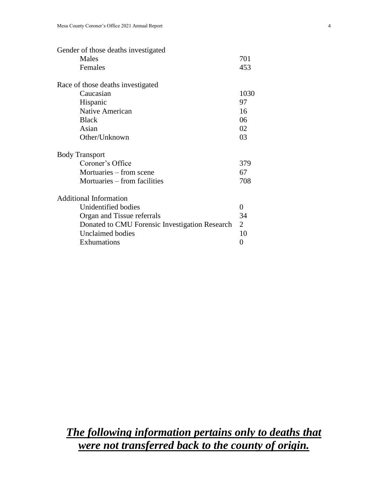| Gender of those deaths investigated            |                |
|------------------------------------------------|----------------|
| Males                                          | 701            |
| Females                                        | 453            |
| Race of those deaths investigated              |                |
| Caucasian                                      | 1030           |
| Hispanic                                       | 97             |
| <b>Native American</b>                         | 16             |
| <b>Black</b>                                   | 06             |
| Asian                                          | 02             |
| Other/Unknown                                  | 03             |
| <b>Body Transport</b>                          |                |
| Coroner's Office                               | 379            |
| Mortuaries – from scene                        | 67             |
| Mortuaries – from facilities                   | 708            |
| <b>Additional Information</b>                  |                |
| Unidentified bodies                            | 0              |
| Organ and Tissue referrals                     | 34             |
| Donated to CMU Forensic Investigation Research | $\overline{2}$ |
| <b>Unclaimed bodies</b>                        | 10             |
| Exhumations                                    | 0              |
|                                                |                |

# *The following information pertains only to deaths that were not transferred back to the county of origin.*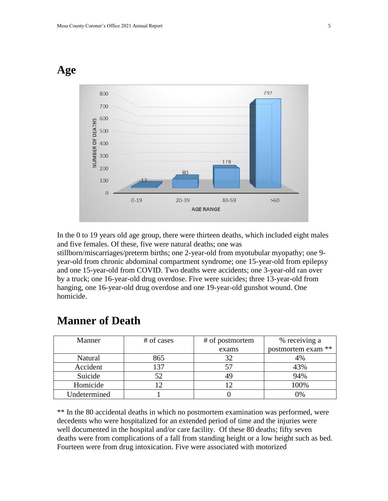### **Age**



In the 0 to 19 years old age group, there were thirteen deaths, which included eight males and five females. Of these, five were natural deaths; one was

stillborn/miscarriages/preterm births; one 2-year-old from myotubular myopathy; one 9 year-old from chronic abdominal compartment syndrome; one 15-year-old from epilepsy and one 15-year-old from COVID. Two deaths were accidents; one 3-year-old ran over by a truck; one 16-year-old drug overdose. Five were suicides; three 13-year-old from hanging, one 16-year-old drug overdose and one 19-year-old gunshot wound. One homicide.

| Manner       | # of cases | # of postmortem | % receiving a      |
|--------------|------------|-----------------|--------------------|
|              |            | exams           | postmortem exam ** |
| Natural      | 865        | 32              | 4%                 |
| Accident     | 137        | 57              | 43%                |
| Suicide      | 52         | 49              | 94%                |
| Homicide     |            |                 | 100%               |
| Undetermined |            |                 | 0%                 |

### **Manner of Death**

\*\* In the 80 accidental deaths in which no postmortem examination was performed, were decedents who were hospitalized for an extended period of time and the injuries were well documented in the hospital and/or care facility. Of these 80 deaths; fifty seven deaths were from complications of a fall from standing height or a low height such as bed. Fourteen were from drug intoxication. Five were associated with motorized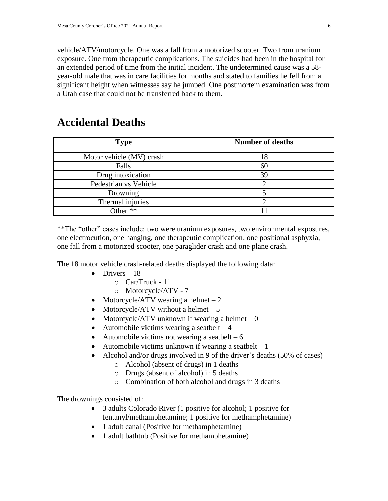vehicle/ATV/motorcycle. One was a fall from a motorized scooter. Two from uranium exposure. One from therapeutic complications. The suicides had been in the hospital for an extended period of time from the initial incident. The undetermined cause was a 58 year-old male that was in care facilities for months and stated to families he fell from a significant height when witnesses say he jumped. One postmortem examination was from a Utah case that could not be transferred back to them.

### **Accidental Deaths**

| <b>Type</b>              | <b>Number of deaths</b> |
|--------------------------|-------------------------|
| Motor vehicle (MV) crash | 18                      |
| Falls                    | 60                      |
| Drug intoxication        | 39                      |
| Pedestrian vs Vehicle    |                         |
| Drowning                 |                         |
| Thermal injuries         |                         |
| Other **                 |                         |

\*\*The "other" cases include: two were uranium exposures, two environmental exposures, one electrocution, one hanging, one therapeutic complication, one positional asphyxia, one fall from a motorized scooter, one paraglider crash and one plane crash.

The 18 motor vehicle crash-related deaths displayed the following data:

- $\bullet$  Drivers 18
	- o Car/Truck 11
	- o Motorcycle/ATV 7
- Motorcycle/ATV wearing a helmet  $-2$
- Motorcycle/ATV without a helmet  $-5$
- Motorcycle/ATV unknown if wearing a helmet  $-0$
- Automobile victims wearing a seatbelt  $-4$
- Automobile victims not wearing a seatbelt  $-6$
- Automobile victims unknown if wearing a seatbelt  $-1$
- Alcohol and/or drugs involved in 9 of the driver's deaths (50% of cases)
	- o Alcohol (absent of drugs) in 1 deaths
	- o Drugs (absent of alcohol) in 5 deaths
	- o Combination of both alcohol and drugs in 3 deaths

The drownings consisted of:

- 3 adults Colorado River (1 positive for alcohol; 1 positive for fentanyl/methamphetamine; 1 positive for methamphetamine)
- 1 adult canal (Positive for methamphetamine)
- 1 adult bathtub (Positive for methamphetamine)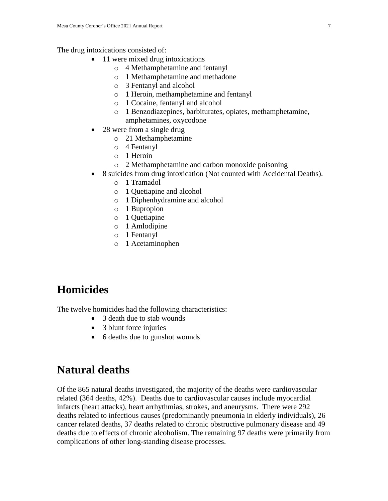The drug intoxications consisted of:

- 11 were mixed drug intoxications
	- o 4 Methamphetamine and fentanyl
	- o 1 Methamphetamine and methadone
	- o 3 Fentanyl and alcohol
	- o 1 Heroin, methamphetamine and fentanyl
	- o 1 Cocaine, fentanyl and alcohol
	- o 1 Benzodiazepines, barbiturates, opiates, methamphetamine, amphetamines, oxycodone
- 28 were from a single drug
	- o 21 Methamphetamine
	- o 4 Fentanyl
	- o 1 Heroin
	- o 2 Methamphetamine and carbon monoxide poisoning
- 8 suicides from drug intoxication (Not counted with Accidental Deaths).
	- o 1 Tramadol
	- o 1 Quetiapine and alcohol
	- o 1 Diphenhydramine and alcohol
	- o 1 Bupropion
	- o 1 Quetiapine
	- o 1 Amlodipine
	- o 1 Fentanyl
	- o 1 Acetaminophen

# **Homicides**

The twelve homicides had the following characteristics:

- 3 death due to stab wounds
- 3 blunt force injuries
- 6 deaths due to gunshot wounds

## **Natural deaths**

Of the 865 natural deaths investigated, the majority of the deaths were cardiovascular related (364 deaths, 42%). Deaths due to cardiovascular causes include myocardial infarcts (heart attacks), heart arrhythmias, strokes, and aneurysms. There were 292 deaths related to infectious causes (predominantly pneumonia in elderly individuals), 26 cancer related deaths, 37 deaths related to chronic obstructive pulmonary disease and 49 deaths due to effects of chronic alcoholism. The remaining 97 deaths were primarily from complications of other long-standing disease processes.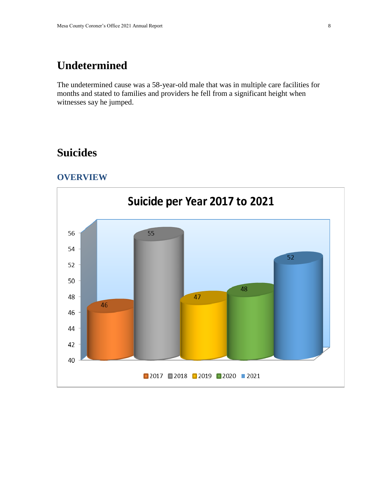## **Undetermined**

The undetermined cause was a 58-year-old male that was in multiple care facilities for months and stated to families and providers he fell from a significant height when witnesses say he jumped.

### **Suicides**

#### **OVERVIEW**

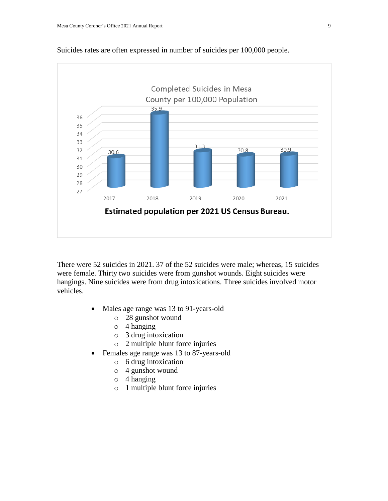

Suicides rates are often expressed in number of suicides per 100,000 people.

There were 52 suicides in 2021. 37 of the 52 suicides were male; whereas, 15 suicides were female. Thirty two suicides were from gunshot wounds. Eight suicides were hangings. Nine suicides were from drug intoxications. Three suicides involved motor vehicles.

- Males age range was 13 to 91-years-old
	- o 28 gunshot wound
	- o 4 hanging
	- o 3 drug intoxication
	- o 2 multiple blunt force injuries
- Females age range was 13 to 87-years-old
	- o 6 drug intoxication
	- o 4 gunshot wound
	- o 4 hanging
	- o 1 multiple blunt force injuries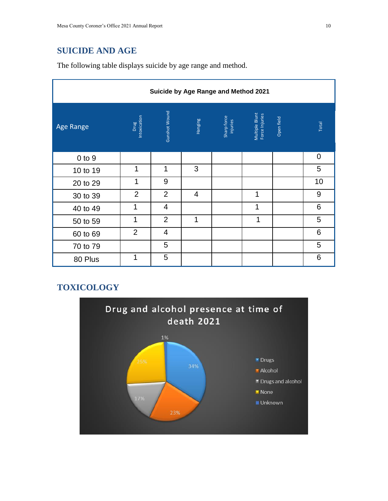### **SUICIDE AND AGE**

The following table displays suicide by age range and method.

| Suicide by Age Range and Method 2021 |                      |                |                |                         |                                  |            |             |
|--------------------------------------|----------------------|----------------|----------------|-------------------------|----------------------------------|------------|-------------|
| Age Range                            | Intoxication<br>Drug | Gunshot Wound  | Hanging        | Sharp force<br>injuries | Multiple Blunt<br>Force Injuries | Open field | Total       |
| $0$ to $9$                           |                      |                |                |                         |                                  |            | $\mathbf 0$ |
| 10 to 19                             | 1                    | 1              | 3              |                         |                                  |            | 5           |
| 20 to 29                             | 1                    | 9              |                |                         |                                  |            | 10          |
| 30 to 39                             | $\overline{2}$       | $\overline{2}$ | $\overline{4}$ |                         | 1                                |            | 9           |
| 40 to 49                             | 1                    | $\overline{4}$ |                |                         | 1                                |            | 6           |
| 50 to 59                             | 1                    | $\overline{2}$ | 1              |                         | 1                                |            | 5           |
| 60 to 69                             | $\overline{2}$       | $\overline{4}$ |                |                         |                                  |            | 6           |
| 70 to 79                             |                      | 5              |                |                         |                                  |            | 5           |
| 80 Plus                              | 1                    | 5              |                |                         |                                  |            | 6           |

### **TOXICOLOGY**

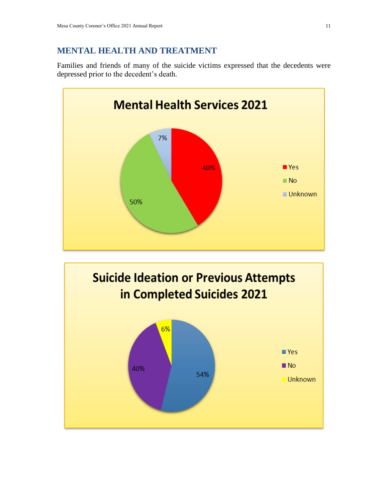#### **MENTAL HEALTH AND TREATMENT**

Families and friends of many of the suicide victims expressed that the decedents were depressed prior to the decedent's death.